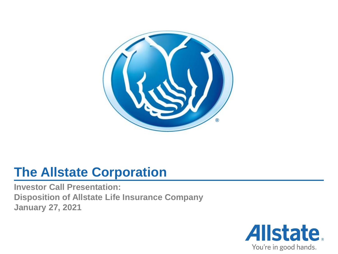

## **The Allstate Corporation**

**Investor Call Presentation: Disposition of Allstate Life Insurance Company January 27, 2021**

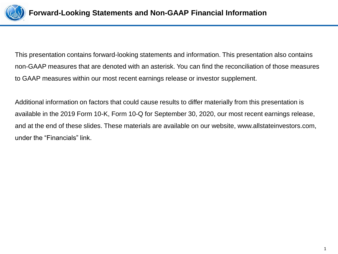

This presentation contains forward-looking statements and information. This presentation also contains non-GAAP measures that are denoted with an asterisk. You can find the reconciliation of those measures to GAAP measures within our most recent earnings release or investor supplement.

Additional information on factors that could cause results to differ materially from this presentation is available in the 2019 Form 10-K, Form 10-Q for September 30, 2020, our most recent earnings release, and at the end of these slides. These materials are available on our website, www.allstateinvestors.com, under the "Financials" link.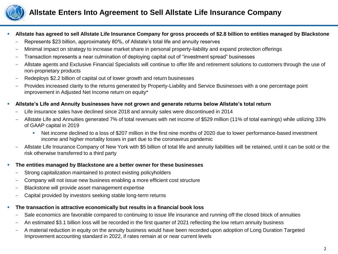

- Allstate has agreed to sell Allstate Life Insurance Company for gross proceeds of \$2.8 billion to entities managed by Blackstone
	- ‒ Represents \$23 billion, approximately 80%, of Allstate's total life and annuity reserves
	- ‒ Minimal impact on strategy to increase market share in personal property-liability and expand protection offerings
	- ‒ Transaction represents a near culmination of deploying capital out of "investment spread" businesses
	- ‒ Allstate agents and Exclusive Financial Specialists will continue to offer life and retirement solutions to customers through the use of non-proprietary products
	- Redeploys \$2.2 billion of capital out of lower growth and return businesses
	- ‒ Provides increased clarity to the returns generated by Property-Liability and Service Businesses with a one percentage point improvement in Adjusted Net Income return on equity\*
- **EXTED Allstate's Life and Annuity businesses have not grown and generate returns below Allstate's total return** 
	- ‒ Life insurance sales have declined since 2018 and annuity sales were discontinued in 2014
	- ‒ Allstate Life and Annuities generated 7% of total revenues with net income of \$529 million (11% of total earnings) while utilizing 33% of GAAP capital in 2019
		- Net income declined to a loss of \$207 million in the first nine months of 2020 due to lower performance-based investment income and higher mortality losses in part due to the coronavirus pandemic
	- ‒ Allstate Life Insurance Company of New York with \$5 billion of total life and annuity liabilities will be retained, until it can be sold or the risk otherwise transferred to a third party
- **The entities managed by Blackstone are a better owner for these businesses**
	- ‒ Strong capitalization maintained to protect existing policyholders
	- ‒ Company will not issue new business enabling a more efficient cost structure
	- ‒ Blackstone will provide asset management expertise
	- ‒ Capital provided by investors seeking stable long-term returns
- **EXTE: The transaction is attractive economically but results in a financial book loss** 
	- ‒ Sale economics are favorable compared to continuing to issue life insurance and running off the closed block of annuities
	- ‒ An estimated \$3.1 billion loss will be recorded in the first quarter of 2021 reflecting the low return annuity business
	- ‒ A material reduction in equity on the annuity business would have been recorded upon adoption of Long Duration Targeted Improvement accounting standard in 2022, if rates remain at or near current levels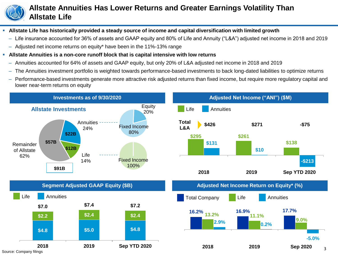

## **Allstate Annuities Has Lower Returns and Greater Earnings Volatility Than Allstate Life**

- **Allstate Life has historically provided a steady source of income and capital diversification with limited growth**
	- ‒ Life insurance accounted for 36% of assets and GAAP equity and 80% of Life and Annuity ("L&A") adjusted net income in 2018 and 2019
	- ‒ Adjusted net income returns on equity\* have been in the 11%-13% range
- **EXTED Allstate Annuities is a non-core runoff block that is capital intensive with low returns** 
	- ‒ Annuities accounted for 64% of assets and GAAP equity, but only 20% of L&A adjusted net income in 2018 and 2019
	- ‒ The Annuities investment portfolio is weighted towards performance-based investments to back long-dated liabilities to optimize returns
	- Performance-based investments generate more attractive risk adjusted returns than fixed income, but require more regulatory capital and lower near-term returns on equity

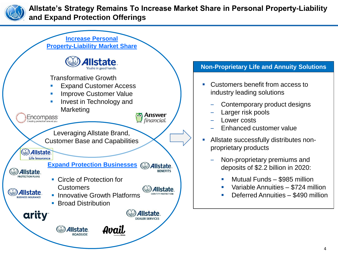

**Allstate's Strategy Remains To Increase Market Share in Personal Property-Liability and Expand Protection Offerings**

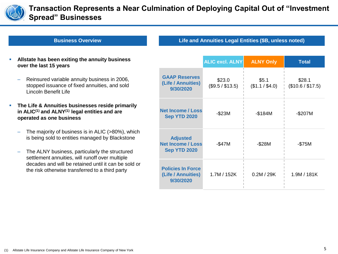

## **Transaction Represents a Near Culmination of Deploying Capital Out of "Investment Spread" Businesses**

| <b>Business Overview</b> |                                                                                                                                                                                                                                                                                                                      | Life and Annuities Legal Entities (\$B, unless noted)              |                            |                          |                             |
|--------------------------|----------------------------------------------------------------------------------------------------------------------------------------------------------------------------------------------------------------------------------------------------------------------------------------------------------------------|--------------------------------------------------------------------|----------------------------|--------------------------|-----------------------------|
| ×,                       | Allstate has been exiting the annuity business<br>over the last 15 years                                                                                                                                                                                                                                             |                                                                    | <b>ALIC excl. ALNY</b>     | <b>ALNY Only</b>         | <b>Total</b>                |
|                          | Reinsured variable annuity business in 2006,<br>stopped issuance of fixed annuities, and sold<br>Lincoln Benefit Life                                                                                                                                                                                                | <b>GAAP Reserves</b><br>(Life / Annuities)<br>9/30/2020            | \$23.0<br>(\$9.5 / \$13.5) | \$5.1<br>(\$1.1 / \$4.0) | \$28.1<br>(\$10.6 / \$17.5) |
| T,                       | The Life & Annuities businesses reside primarily<br>in $ALIC^{(1)}$ and $ALNY^{(1)}$ legal entities and are<br>operated as one business                                                                                                                                                                              | <b>Net Income / Loss</b><br><b>Sep YTD 2020</b>                    | $-$23M$                    | $-$184M$                 | $-$207M$                    |
|                          | The majority of business is in ALIC (>80%), which<br>is being sold to entities managed by Blackstone<br>The ALNY business, particularly the structured<br>settlement annuities, will runoff over multiple<br>decades and will be retained until it can be sold or<br>the risk otherwise transferred to a third party | <b>Adjusted</b><br><b>Net Income / Loss</b><br><b>Sep YTD 2020</b> | $-$47M$                    | $-$ \$28M                | $-$75M$                     |
|                          |                                                                                                                                                                                                                                                                                                                      | <b>Policies In Force</b><br>(Life / Annuities)<br>9/30/2020        | 1.7M / 152K                | 0.2M / 29K               | 1.9M / 181K                 |
|                          |                                                                                                                                                                                                                                                                                                                      |                                                                    |                            |                          |                             |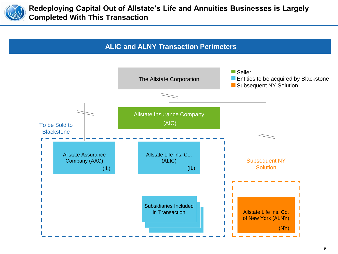

**Redeploying Capital Out of Allstate's Life and Annuities Businesses is Largely Completed With This Transaction**

## **ALIC and ALNY Transaction Perimeters**

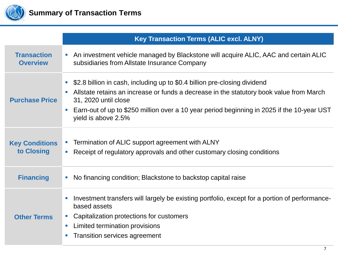

|                                       | <b>Key Transaction Terms (ALIC excl. ALNY)</b>                                                                                                                                                                                                                                                                                     |  |  |  |
|---------------------------------------|------------------------------------------------------------------------------------------------------------------------------------------------------------------------------------------------------------------------------------------------------------------------------------------------------------------------------------|--|--|--|
| <b>Transaction</b><br><b>Overview</b> | An investment vehicle managed by Blackstone will acquire ALIC, AAC and certain ALIC<br>$\overline{\phantom{a}}$<br>subsidiaries from Allstate Insurance Company                                                                                                                                                                    |  |  |  |
| <b>Purchase Price</b>                 | \$2.8 billion in cash, including up to \$0.4 billion pre-closing dividend<br>$\mathcal{C}$<br>Allstate retains an increase or funds a decrease in the statutory book value from March<br>31, 2020 until close<br>Earn-out of up to \$250 million over a 10 year period beginning in 2025 if the 10-year UST<br>yield is above 2.5% |  |  |  |
| <b>Key Conditions</b><br>to Closing   | Termination of ALIC support agreement with ALNY<br>$\mathcal{L}_{\mathcal{A}}$<br>Receipt of regulatory approvals and other customary closing conditions<br>$\mathcal{L}_{\mathcal{A}}$                                                                                                                                            |  |  |  |
| <b>Financing</b>                      | No financing condition; Blackstone to backstop capital raise<br>T,                                                                                                                                                                                                                                                                 |  |  |  |
| <b>Other Terms</b>                    | Investment transfers will largely be existing portfolio, except for a portion of performance-<br>$\mathcal{L}_{\mathcal{A}}$<br>based assets<br>Capitalization protections for customers<br>Limited termination provisions<br>$\mathcal{C}$<br><b>Transition services agreement</b><br>$\mathcal{C}$                               |  |  |  |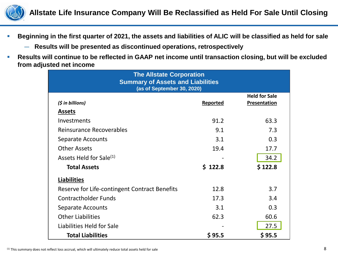

- **EXP** Beginning in the first quarter of 2021, the assets and liabilities of ALIC will be classified as held for sale
	- **Results will be presented as discontinued operations, retrospectively**
- **EXERCT ADDET IN A FIGMORY THE SET III IS A FIGMORY III SET III A FIGMORY THE VIGORY OF SYSTEM III A FIGMORY III from adjusted net income**

| <b>The Allstate Corporation</b><br><b>Summary of Assets and Liabilities</b><br>(as of September 30, 2020) |                 |                                             |  |  |  |  |  |
|-----------------------------------------------------------------------------------------------------------|-----------------|---------------------------------------------|--|--|--|--|--|
| $(5$ in billions)                                                                                         | <b>Reported</b> | <b>Held for Sale</b><br><b>Presentation</b> |  |  |  |  |  |
| <b>Assets</b>                                                                                             |                 |                                             |  |  |  |  |  |
| Investments                                                                                               | 91.2            | 63.3                                        |  |  |  |  |  |
| Reinsurance Recoverables                                                                                  | 9.1             | 7.3                                         |  |  |  |  |  |
| Separate Accounts                                                                                         | 3.1             | 0.3                                         |  |  |  |  |  |
| <b>Other Assets</b>                                                                                       | 19.4            | 17.7                                        |  |  |  |  |  |
| Assets Held for Sale <sup>(1)</sup>                                                                       |                 | 34.2                                        |  |  |  |  |  |
| <b>Total Assets</b>                                                                                       | \$122.8         | \$122.8                                     |  |  |  |  |  |
| <b>Liabilities</b>                                                                                        |                 |                                             |  |  |  |  |  |
| Reserve for Life-contingent Contract Benefits                                                             | 12.8            | 3.7                                         |  |  |  |  |  |
| <b>Contractholder Funds</b>                                                                               | 17.3            | 3.4                                         |  |  |  |  |  |
| Separate Accounts                                                                                         | 3.1             | 0.3                                         |  |  |  |  |  |
| <b>Other Liabilities</b>                                                                                  | 62.3            | 60.6                                        |  |  |  |  |  |
| Liabilities Held for Sale                                                                                 |                 | 27.5                                        |  |  |  |  |  |
| <b>Total Liabilities</b>                                                                                  | \$95.5          | \$95.5                                      |  |  |  |  |  |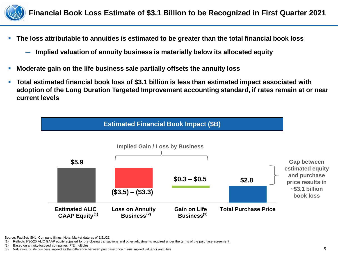

- The loss attributable to annuities is estimated to be greater than the total financial book loss
	- **Implied valuation of annuity business is materially below its allocated equity**
- **Moderate gain on the life business sale partially offsets the annuity loss**
- **Total estimated financial book loss of \$3.1 billion is less than estimated impact associated with adoption of the Long Duration Targeted Improvement accounting standard, if rates remain at or near current levels**





Source: FactSet, SNL, Company filings; Note: Market date as of 1/21/21

Reflects 9/30/20 ALIC GAAP equity adjusted for pre-closing transactions and other adjustments required under the terms of the purchase agreement

(2) Based on annuity-focused companies' P/E multiples

(3) Valuation for life business implied as the difference between purchase price minus implied value for annuities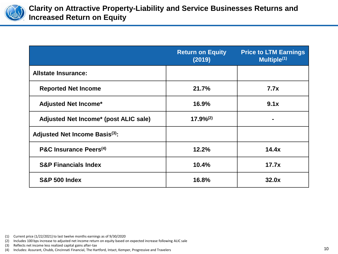

**Clarity on Attractive Property-Liability and Service Businesses Returns and Increased Return on Equity**

|                                       | <b>Return on Equity</b><br>(2019) | <b>Price to LTM Earnings</b><br>Multiple(1) |
|---------------------------------------|-----------------------------------|---------------------------------------------|
| <b>Allstate Insurance:</b>            |                                   |                                             |
| <b>Reported Net Income</b>            | 21.7%                             | 7.7x                                        |
| <b>Adjusted Net Income*</b>           | 16.9%                             | 9.1x                                        |
| Adjusted Net Income* (post ALIC sale) | $17.9%^{(2)}$                     |                                             |
| <b>Adjusted Net Income Basis(3):</b>  |                                   |                                             |
| P&C Insurance Peers <sup>(4)</sup>    | 12.2%                             | 14.4x                                       |
| <b>S&amp;P Financials Index</b>       | 10.4%                             | 17.7x                                       |
| <b>S&amp;P 500 Index</b>              | 16.8%                             | 32.0x                                       |

(1) Current price (1/22/2021) to last twelve months earnings as of 9/30/2020

(2) Includes 100 bps increase to adjusted net income return on equity based on expected increase following ALIC sale

(3) Reflects net income less realized capital gains after-tax

(4) Includes: Assurant, Chubb, Cincinnati Financial, The Hartford, Intact, Kemper, Progressive and Travelers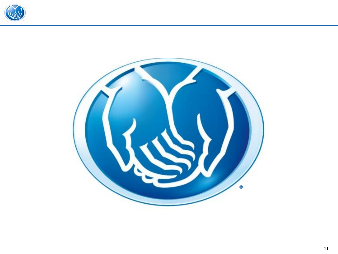